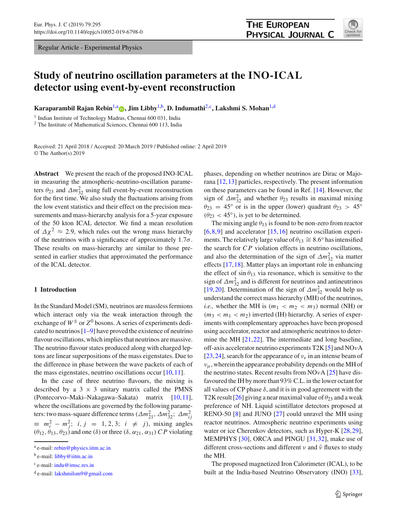Regular Article - Experimental Physics

# **THE EUROPEAN** PHYSICAL JOURNAL C



# **Study of neutrino oscillation parameters at the INO-ICAL detector using event-by-event reconstruction**

**Karaparambil Rajan Rebin<sup>[1,](#page-0-0)a</sup> <b>p**[,](http://orcid.org/0000-0001-7430-7476) Jim Libby<sup>1,b</sup>, D. Indumathi<sup>[2,](#page-0-0)c</sup>, Lakshmi S. Mohan<sup>1,d</sup>

<sup>1</sup> Indian Institute of Technology Madras, Chennai 600 031, India

<sup>2</sup> The Institute of Mathematical Sciences, Chennai 600 113, India

Received: 21 April 2018 / Accepted: 20 March 2019 / Published online: 2 April 2019 © The Author(s) 2019

**Abstract** We present the reach of the proposed INO-ICAL in measuring the atmospheric-neutrino-oscillation parameters  $\theta_{23}$  and  $\Delta m_{32}^2$  using full event-by-event reconstruction for the first time. We also study the fluctuations arising from the low event statistics and their effect on the precision measurements and mass-hierarchy analysis for a 5-year exposure of the 50 kton ICAL detector. We find a mean resolution of  $\Delta \chi^2 \approx 2.9$ , which rules out the wrong mass hierarchy of the neutrinos with a significance of approximately  $1.7\sigma$ . These results on mass-hierarchy are similar to those presented in earlier studies that approximated the performance of the ICAL detector.

# **1 Introduction**

In the Standard Model (SM), neutrinos are massless fermions which interact only via the weak interaction through the exchange of  $W^{\pm}$  or  $Z^{0}$  bosons. A series of experiments dedicated to neutrinos [\[1](#page-12-0)[–9\]](#page-12-1) have proved the existence of neutrino flavour oscillations, which implies that neutrinos are massive. The neutrino flavour states produced along with charged leptons are linear superpositions of the mass eigenstates. Due to the difference in phase between the wave packets of each of the mass eigenstates, neutrino oscillations occur  $[10, 11]$  $[10, 11]$  $[10, 11]$ .

In the case of three neutrino flavours, the mixing is described by a  $3 \times 3$  unitary matrix called the PMNS (Pontecorvo–Maki–Nakagawa–Sakata) matrix [\[10](#page-12-2)[,11](#page-12-3)], where the oscillations are governed by the following parameters: two mass-square difference terms ( $\Delta m_{21}^2$ ,  $\Delta m_{32}^2$ ;  $\Delta m_{ij}^2$  $\equiv m_i^2 - m_j^2$ ; *i*, *j* = 1, 2, 3; *i*  $\neq$  *j*), mixing angles  $(\theta_{12}, \theta_{13}, \theta_{23})$  and one (δ) or three (δ,  $\alpha_{21}, \alpha_{31}$ ) *CP* violating

<span id="page-0-0"></span>phases, depending on whether neutrinos are Dirac or Majorana [\[12](#page-12-4)[,13](#page-12-5)] particles, respectively. The present information on these parameters can be found in Ref. [\[14\]](#page-12-6). However, the sign of  $\Delta m_{32}^2$  and whether  $\theta_{23}$  results in maximal mixing  $\theta_{23} = 45^\circ$  or is in the upper (lower) quadrant  $\theta_{23} > 45^\circ$  $(\theta_{23} < 45^{\circ})$ , is yet to be determined.

The mixing angle  $\theta_{13}$  is found to be non-zero from reactor  $[6,8,9]$  $[6,8,9]$  $[6,8,9]$  $[6,8,9]$  and accelerator  $[15,16]$  $[15,16]$  $[15,16]$  neutrino oscillation experiments. The relatively large value of  $\theta_{13} \cong 8.6^\circ$  has intensified the search for *C P* violation effects in neutrino oscillations, and also the determination of the sign of  $\Delta m_{32}^2$  via matter effects [\[17](#page-12-11)[,18](#page-12-12)]. Matter plays an important role in enhancing the effect of  $\sin \theta_{13}$  via resonance, which is sensitive to the sign of  $\Delta m_{32}^2$  and is different for neutrinos and antineutrinos [\[19](#page-12-13),[20\]](#page-12-14). Determination of the sign of  $\Delta m_{32}^2$  would help us understand the correct mass hierarchy (MH) of the neutrinos, *i.e.*, whether the MH is  $(m_1 < m_2 < m_3)$  normal (NH) or  $(m_3 < m_1 < m_2)$  inverted (IH) hierarchy. A series of experiments with complementary approaches have been proposed using accelerator, reactor and atmospheric neutrinos to determine the MH [\[21](#page-12-15)[,22](#page-12-16)]. The intermediate and long baseline, off-axis accelerator neutrino experiments T2K [\[5\]](#page-12-17) and NOνA [\[23](#page-12-18),[24\]](#page-12-19), search for the appearance of  $v_e$  in an intense beam of  $v_{\mu}$ , wherein the appearance probability depends on the MH of the neutrino states. Recent results from  $NOvA$  [\[25\]](#page-12-20) have disfavoured the IH by more than 93% C.L. in the lower octant for all values of CP phase  $\delta$ , and it is in good agreement with the T2K result [\[26\]](#page-12-21) giving a near maximal value of  $\theta_{23}$  and a weak preference of NH. Liquid scintillator detectors proposed at RENO-50 [\[8\]](#page-12-8) and JUNO [\[27\]](#page-12-22) could unravel the MH using reactor neutrinos. Atmospheric neutrino experiments using water or ice Cherenkov detectors, such as Hyper-K  $[28,29]$  $[28,29]$  $[28,29]$ , MEMPHYS [\[30](#page-12-25)], ORCA and PINGU [\[31](#page-13-0)[,32](#page-13-1)], make use of different cross-sections and different  $\nu$  and  $\bar{\nu}$  fluxes to study the MH.

The proposed magnetized Iron Calorimeter (ICAL), to be built at the India-based Neutrino Observatory (INO) [\[33](#page-13-2)],

<sup>a</sup> e-mail: [rebin@physics.iitm.ac.in](mailto:rebin@physics.iitm.ac.in)

<sup>&</sup>lt;sup>b</sup> e-mail: [libby@iitm.ac.in](mailto:libby@iitm.ac.in)

<sup>c</sup> e-mail: [indu@imsc.res.in](mailto:indu@imsc.res.in)

<sup>d</sup> e-mail: [lakshmilsm9@gmail.com](mailto:lakshmilsm9@gmail.com)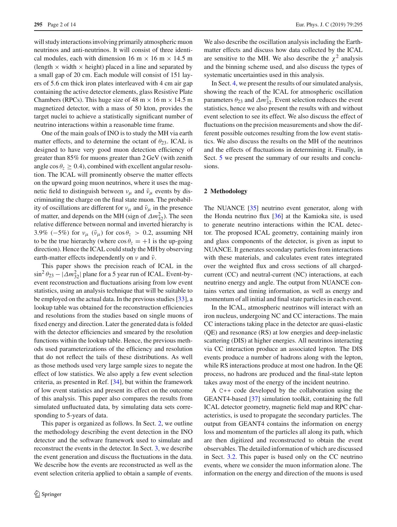will study interactions involving primarily atmospheric muon neutrinos and anti-neutrinos. It will consist of three identical modules, each with dimension 16 m  $\times$  16 m  $\times$  14.5 m (length  $\times$  width  $\times$  height) placed in a line and separated by a small gap of 20 cm. Each module will consist of 151 layers of 5.6 cm thick iron plates interleaved with 4 cm air gap containing the active detector elements, glass Resistive Plate Chambers (RPCs). This huge size of 48 m  $\times$  16 m  $\times$  14.5 m magnetized detector, with a mass of 50 kton, provides the target nuclei to achieve a statistically significant number of neutrino interactions within a reasonable time frame.

One of the main goals of INO is to study the MH via earth matter effects, and to determine the octant of  $\theta_{23}$ . ICAL is designed to have very good muon detection efficiency of greater than 85% for muons greater than 2 GeV (with zenith angle  $\cos \theta_z \geq 0.4$ ), combined with excellent angular resolution. The ICAL will prominently observe the matter effects on the upward going muon neutrinos, where it uses the magnetic field to distinguish between  $v_{\mu}$  and  $\bar{v}_{\mu}$  events by discriminating the charge on the final state muon. The probability of oscillations are different for  $v_{\mu}$  and  $\bar{v}_{\mu}$  in the presence of matter, and depends on the MH (sign of  $\Delta m_{32}^2$ ). The seen relative difference between normal and inverted hierarchy is 3.9% ( $-5\%$ ) for  $v_{\mu}$  ( $\bar{v}_{\mu}$ ) for cos  $\theta_{z} > 0.2$ , assuming NH to be the true hierarchy (where  $\cos \theta_z = +1$  is the up-going direction). Hence the ICAL could study the MH by observing earth-matter effects independently on  $\nu$  and  $\bar{\nu}$ .

This paper shows the precision reach of ICAL in the  $\sin^2 \theta_{23} - |\Delta m_{32}^2|$  plane for a 5 year run of ICAL. Event-byevent reconstruction and fluctuations arising from low event statistics, using an analysis technique that will be suitable to be employed on the actual data. In the previous studies [\[33](#page-13-2)], a lookup table was obtained for the reconstruction efficiencies and resolutions from the studies based on single muons of fixed energy and direction. Later the generated data is folded with the detector efficiencies and smeared by the resolution functions within the lookup table. Hence, the previous methods used parameterizations of the efficiency and resolution that do not reflect the tails of these distributions. As well as those methods used very large sample sizes to negate the effect of low statistics. We also apply a few event selection criteria, as presented in Ref. [\[34](#page-13-3)], but within the framework of low event statistics and present its effect on the outcome of this analysis. This paper also compares the results from simulated unfluctuated data, by simulating data sets corresponding to 5-years of data.

This paper is organized as follows. In Sect. [2,](#page-1-0) we outline the methodology describing the event detection in the INO detector and the software framework used to simulate and reconstruct the events in the detector. In Sect. [3,](#page-2-0) we describe the event generation and discuss the fluctuations in the data. We describe how the events are reconstructed as well as the event selection criteria applied to obtain a sample of events.

We also describe the oscillation analysis including the Earthmatter effects and discuss how data collected by the ICAL are sensitive to the MH. We also describe the  $\chi^2$  analysis and the binning scheme used, and also discuss the types of systematic uncertainties used in this analysis.

In Sect. [4,](#page-7-0) we present the results of our simulated analysis, showing the reach of the ICAL for atmospheric oscillation parameters  $\theta_{23}$  and  $\Delta m_{32}^2$ . Event selection reduces the event statistics, hence we also present the results with and without event selection to see its effect. We also discuss the effect of fluctuations on the precision measurements and show the different possible outcomes resulting from the low event statistics. We also discuss the results on the MH of the neutrinos and the effects of fluctuations in determining it. Finally, in Sect. [5](#page-10-0) we present the summary of our results and conclusions.

#### <span id="page-1-0"></span>**2 Methodology**

The NUANCE [\[35\]](#page-13-4) neutrino event generator, along with the Honda neutrino flux [\[36\]](#page-13-5) at the Kamioka site, is used to generate neutrino interactions within the ICAL detector. The proposed ICAL geometry, containing mainly iron and glass components of the detector, is given as input to NUANCE. It generates secondary particles from interactions with these materials, and calculates event rates integrated over the weighted flux and cross sections of all chargedcurrent (CC) and neutral-current (NC) interactions, at each neutrino energy and angle. The output from NUANCE contains vertex and timing information, as well as energy and momentum of all initial and final state particles in each event.

In the ICAL, atmospheric neutrinos will interact with an iron nucleus, undergoing NC and CC interactions. The main CC interactions taking place in the detector are quasi-elastic (QE) and resonance (RS) at low energies and deep-inelastic scattering (DIS) at higher energies. All neutrinos interacting via CC interaction produce an associated lepton. The DIS events produce a number of hadrons along with the lepton, while RS interactions produce at most one hadron. In the QE process, no hadrons are produced and the final-state lepton takes away most of the energy of the incident neutrino.

A C++ code developed by the collaboration using the GEANT4-based [\[37](#page-13-6)] simulation toolkit, containing the full ICAL detector geometry, magnetic field map and RPC characteristics, is used to propagate the secondary particles. The output from GEANT4 contains the information on energy loss and momentum of the particles all along its path, which are then digitized and reconstructed to obtain the event observables. The detailed information of which are discussed in Sect. [3.2.](#page-2-1) This paper is based only on the CC neutrino events, where we consider the muon information alone. The information on the energy and direction of the muons is used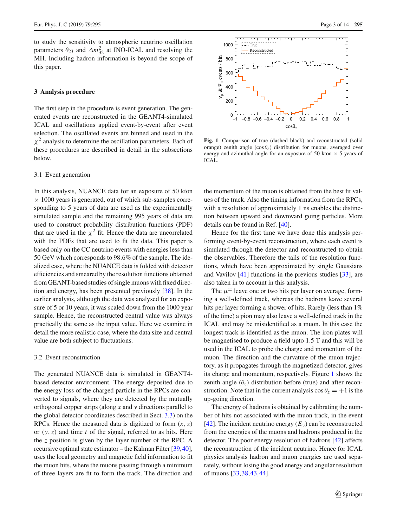to study the sensitivity to atmospheric neutrino oscillation parameters  $\theta_{23}$  and  $\Delta m_{32}^2$  at INO-ICAL and resolving the MH. Including hadron information is beyond the scope of this paper.

# <span id="page-2-0"></span>**3 Analysis procedure**

The first step in the procedure is event generation. The generated events are reconstructed in the GEANT4-simulated ICAL and oscillations applied event-by-event after event selection. The oscillated events are binned and used in the  $\chi^2$  analysis to determine the oscillation parameters. Each of these procedures are described in detail in the subsections below.

### 3.1 Event generation

In this analysis, NUANCE data for an exposure of 50 kton  $\times$  1000 years is generated, out of which sub-samples corresponding to 5 years of data are used as the experimentally simulated sample and the remaining 995 years of data are used to construct probability distribution functions (PDF) that are used in the  $\chi^2$  fit. Hence the data are uncorrelated with the PDFs that are used to fit the data. This paper is based only on the CC neutrino events with energies less than 50 GeV which corresponds to 98.6% of the sample. The idealized case, where the NUANCE data is folded with detector efficiencies and smeared by the resolution functions obtained from GEANT-based studies of single muons with fixed direction and energy, has been presented previously [\[38\]](#page-13-7). In the earlier analysis, although the data was analysed for an exposure of 5 or 10 years, it was scaled down from the 1000 year sample. Hence, the reconstructed central value was always practically the same as the input value. Here we examine in detail the more realistic case, where the data size and central value are both subject to fluctuations.

#### <span id="page-2-1"></span>3.2 Event reconstruction

The generated NUANCE data is simulated in GEANT4 based detector environment. The energy deposited due to the energy loss of the charged particle in the RPCs are converted to signals, where they are detected by the mutually orthogonal copper strips (along *x* and *y* directions parallel to the global detector coordinates described in Sect. [3.3\)](#page-3-0) on the RPCs. Hence the measured data is digitized to form  $(x, z)$ or (*y*,*z*) and time *t* of the signal, referred to as hits. Here the *z* position is given by the layer number of the RPC. A recursive optimal state estimator – the Kalman Filter [\[39](#page-13-8)[,40](#page-13-9)], uses the local geometry and magnetic field information to fit the muon hits, where the muons passing through a minimum of three layers are fit to form the track. The direction and



<span id="page-2-2"></span>**Fig. 1** Comparison of true (dashed black) and reconstructed (solid orange) zenith angle  $(\cos \theta_7)$  distribution for muons, averaged over energy and azimuthal angle for an exposure of 50 kton  $\times$  5 years of ICAL.

the momentum of the muon is obtained from the best fit values of the track. Also the timing information from the RPCs, with a resolution of approximately 1 ns enables the distinction between upward and downward going particles. More details can be found in Ref. [\[40](#page-13-9)].

Hence for the first time we have done this analysis performing event-by-event reconstruction, where each event is simulated through the detector and reconstructed to obtain the observables. Therefore the tails of the resolution functions, which have been approximated by single Gaussians and Vavilov [\[41](#page-13-10)] functions in the previous studies [\[33](#page-13-2)], are also taken in to account in this analysis.

The  $\mu^{\pm}$  leave one or two hits per layer on average, forming a well-defined track, whereas the hadrons leave several hits per layer forming a shower of hits. Rarely (less than  $1\%$ ) of the time) a pion may also leave a well-defined track in the ICAL and may be misidentified as a muon. In this case the longest track is identified as the muon. The iron plates will be magnetised to produce a field upto 1.5 T and this will be used in the ICAL to probe the charge and momentum of the muon. The direction and the curvature of the muon trajectory, as it propagates through the magnetized detector, gives its charge and momentum, respectively. Figure [1](#page-2-2) shows the zenith angle  $(\theta_z)$  distribution before (true) and after reconstruction. Note that in the current analysis  $\cos \theta_z = +1$  is the up-going direction.

The energy of hadrons is obtained by calibrating the number of hits not associated with the muon track, in the event [\[42](#page-13-11)]. The incident neutrino energy  $(E_v)$  can be reconstructed from the energies of the muons and hadrons produced in the detector. The poor energy resolution of hadrons [\[42](#page-13-11)] affects the reconstruction of the incident neutrino. Hence for ICAL physics analysis hadron and muon energies are used separately, without losing the good energy and angular resolution of muons [\[33](#page-13-2),[38,](#page-13-7)[43,](#page-13-12)[44\]](#page-13-13).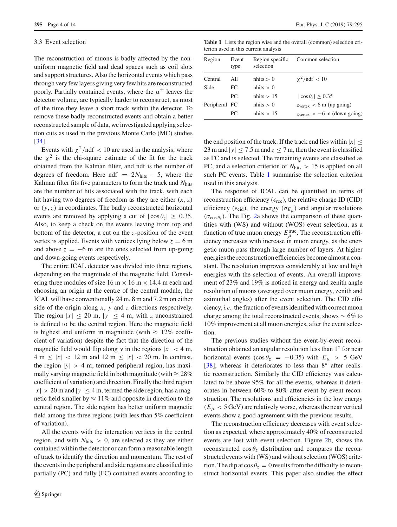#### <span id="page-3-0"></span>3.3 Event selection

The reconstruction of muons is badly affected by the nonuniform magnetic field and dead spaces such as coil slots and support structures. Also the horizontal events which pass through very few layers giving very few hits are reconstructed poorly. Partially contained events, where the  $\mu^{\pm}$  leaves the detector volume, are typically harder to reconstruct, as most of the time they leave a short track within the detector. To remove these badly reconstructed events and obtain a better reconstructed sample of data, we investigated applying selection cuts as used in the previous Monte Carlo (MC) studies [\[34](#page-13-3)].

Events with  $\chi^2$ /ndf < 10 are used in the analysis, where the  $\chi^2$  is the chi-square estimate of the fit for the track obtained from the Kalman filter, and ndf is the number of degrees of freedom. Here ndf =  $2N<sub>hits</sub> - 5$ , where the Kalman filter fits five parameters to form the track and *N*hits are the number of hits associated with the track, with each hit having two degrees of freedom as they are either (*x*,*z*) or (*y*,*z*) in coordinates. The badly reconstructed horizontal events are removed by applying a cut of  $|\cos \theta_z| \geq 0.35$ . Also, to keep a check on the events leaving from top and bottom of the detector, a cut on the *z*-position of the event vertex is applied. Events with vertices lying below  $z = 6$  m and above  $z = -6$  m are the ones selected from up-going and down-going events respectively.

The entire ICAL detector was divided into three regions, depending on the magnitude of the magnetic field. Considering three modules of size 16 m  $\times$  16 m  $\times$  14.4 m each and choosing an origin at the centre of the central module, the ICAL will have conventionally 24 m, 8 m and 7.2 m on either side of the origin along *x*, *y* and *z* directions respectively. The region  $|x| \le 20$  m,  $|y| \le 4$  m, with *z* unconstrained is defined to be the central region. Here the magnetic field is highest and uniform in magnitude (with  $\approx 12\%$  coefficient of variation) despite the fact that the direction of the magnetic field would flip along *y* in the regions  $|x| < 4$  m, 4 m  $\leq |x|$  < 12 m and 12 m  $\leq |x|$  < 20 m. In contrast, the region  $|y| > 4$  m, termed peripheral region, has maximally varying magnetic field in both magnitude (with  $\approx 28\%$ ) coefficient of variation) and direction. Finally the third region  $|x| > 20$  m and  $|y| \le 4$  m, termed the side region, has a magnetic field smaller by  $\approx 11\%$  and opposite in direction to the central region. The side region has better uniform magnetic field among the three regions (with less than 5% coefficient of variation).

All the events with the interaction vertices in the central region, and with *N*hits > 0, are selected as they are either contained within the detector or can form a reasonable length of track to identify the direction and momentum. The rest of the events in the peripheral and side regions are classified into partially (PC) and fully (FC) contained events according to

**Table 1** Lists the region wise and the overall (common) selection criterion used in this current analysis

<span id="page-3-1"></span>

| Region        | Event<br>type | Region specific<br>selection | Common selection                                |
|---------------|---------------|------------------------------|-------------------------------------------------|
| Central       | All           | $n$ hits $> 0$               | $\chi^2$ /ndf < 10                              |
| Side          | FC.           | $n$ hits $> 0$               |                                                 |
|               | PC.           | n hits > 15                  | $ \cos \theta_z  > 0.35$                        |
| Peripheral FC |               | $n$ hits $> 0$               | $z_{\text{vertex}} < 6 \text{ m (up going)}$    |
|               | PC.           | n hits > 15                  | $z_{\text{vertex}} > -6 \text{ m (down going)}$ |

the end position of the track. If the track end lies within  $|x| \leq$ 23 m and  $|y| \le 7.5$  m and  $z \le 7$  m, then the event is classified as FC and is selected. The remaining events are classified as PC, and a selection criterion of  $N<sub>hits</sub> > 15$  is applied on all such PC events. Table [1](#page-3-1) summarise the selection criterion used in this analysis.

The response of ICAL can be quantified in terms of reconstruction efficiency ( $\epsilon_{rec}$ ), the relative charge ID (CID) efficiency ( $\epsilon_{\text{cid}}$ ), the energy ( $\sigma_{E_{\mu}}$ ) and angular resolutions  $(\sigma_{\cos \theta_7})$ . The Fig. [2a](#page-4-0) shows the comparison of these quantities with (WS) and without (WOS) event selection, as a function of true muon energy  $E_{\mu}^{\text{true}}$ . The reconstruction efficiency increases with increase in muon energy, as the energetic muon pass through large number of layers. At higher energies the reconstruction efficiencies become almost a constant. The resolution improves considerably at low and high energies with the selection of events. An overall improvement of 23% and 19% is noticed in energy and zenith angle resolution of muons (averaged over muon energy, zenith and azimuthal angles) after the event selection. The CID efficiency, *i.e.,* the fraction of events identified with correct muon charge among the total reconstructed events, shows ∼ 6% to 10% improvement at all muon energies, after the event selection.

The previous studies without the event-by-event reconstruction obtained an angular resolution less than 1◦ for near horizontal events (cos  $\theta_z$  = −0.35) with  $E_\mu$  > 5 GeV [\[38](#page-13-7)], whereas it deteriorates to less than 8° after realistic reconstruction. Similarly the CID efficiency was calculated to be above 95% for all the events, whereas it deteriorates in between 60% to 80% after event-by-event reconstruction. The resolutions and efficiencies in the low energy  $(E<sub>µ</sub> < 5 \text{ GeV})$  are relatively worse, whereas the near vertical events show a good agreement with the previous results.

The reconstruction efficiency decreases with event selection as expected, where approximately 40% of reconstructed events are lost with event selection. Figure [2b](#page-4-0), shows the reconstructed  $\cos \theta_z$  distribution and compares the reconstructed events with (WS) and without selection (WOS) criterion. The dip at  $\cos \theta_z = 0$  results from the difficulty to reconstruct horizontal events. This paper also studies the effect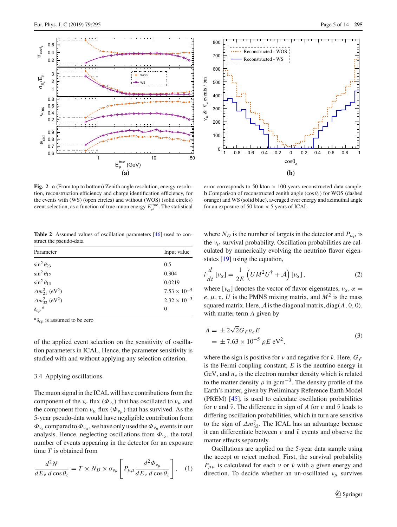



<span id="page-4-0"></span>**Fig. 2 a** (From top to bottom) Zenith angle resolution, energy resolution, reconstruction efficiency and charge identification efficiency, for the events with (WS) (open circles) and without (WOS) (solid circles) event selection, as a function of true muon energy  $E_{\mu}^{\text{true}}$ . The statistical

error corresponds to 50 kton  $\times$  100 years reconstructed data sample. **b** Comparison of reconstructed zenith angle (cos  $\theta$ <sub>z</sub>) for WOS (dashed orange) and WS (solid blue), averaged over energy and azimuthal angle for an exposure of 50 kton  $\times$  5 years of ICAL

<span id="page-4-1"></span>**Table 2** Assumed values of oscillation parameters [\[46\]](#page-13-14) used to construct the pseudo-data

| Parameter                            | Input value           |  |  |
|--------------------------------------|-----------------------|--|--|
| $\sin^2 \theta_{23}$                 | 0.5                   |  |  |
| $\sin^2 \theta_{12}$                 | 0.304                 |  |  |
| $\sin^2 \theta_{13}$                 | 0.0219                |  |  |
| $\Delta m_{21}^2$ (eV <sup>2</sup> ) | $7.53 \times 10^{-5}$ |  |  |
| $\Delta m_{32}^2$ (eV <sup>2</sup> ) | $2.32 \times 10^{-3}$ |  |  |
| $\delta_{cp}$ <sup><i>a</i></sup>    | $\Omega$              |  |  |

 $a_{\delta_{cp}}$  is assumed to be zero

of the applied event selection on the sensitivity of oscillation parameters in ICAL. Hence, the parameter sensitivity is studied with and without applying any selection criterion.

### 3.4 Applying oscillations

The muon signal in the ICAL will have contributions from the component of the  $v_e$  flux  $(\Phi_{v_e})$  that has oscillated to  $v_\mu$  and the component from  $v_{\mu}$  flux  $(\Phi_{v_{\mu}})$  that has survived. As the 5-year pseudo-data would have negligible contribution from  $\Phi_{v_e}$  compared to  $\Phi_{v_u}$ , we have only used the  $\Phi_{v_u}$  events in our analysis. Hence, neglecting oscillations from  $\Phi_{v_e}$ , the total number of events appearing in the detector for an exposure time *T* is obtained from

$$
\frac{d^2N}{dE_v \, d\cos\theta_z} = T \times N_D \times \sigma_{\nu_\mu} \left[ P_{\mu\mu} \frac{d^2 \Phi_{\nu_\mu}}{dE_v \, d\cos\theta_z} \right], \quad (1)
$$

where  $N_D$  is the number of targets in the detector and  $P_{\mu\mu}$  is the  $v_{\mu}$  survival probability. Oscillation probabilities are calculated by numerically evolving the neutrino flavor eigenstates [\[19](#page-12-13)] using the equation,

$$
i\frac{d}{dt}\left[\nu_{\alpha}\right] = \frac{1}{2E}\left(UM^{2}U^{\dagger} + \mathcal{A}\right)\left[\nu_{\alpha}\right],\tag{2}
$$

where  $[\nu_{\alpha}]$  denotes the vector of flavor eigenstates,  $\nu_{\alpha}$ ,  $\alpha$  =  $e, \mu, \tau, U$  is the PMNS mixing matrix, and  $M^2$  is the mass squared matrix. Here,  $A$  is the diagonal matrix, diag( $A$ , 0, 0), with matter term *A* given by

$$
A = \pm 2\sqrt{2}G_{F}n_{e}E
$$
  
=  $\pm 7.63 \times 10^{-5} \rho E eV^{2}$ , (3)

where the sign is positive for *ν* and negative for  $\bar{v}$ . Here,  $G_F$ is the Fermi coupling constant, *E* is the neutrino energy in GeV, and  $n_e$  is the electron number density which is related to the matter density  $\rho$  in gcm<sup>-3</sup>. The density profile of the Earth's matter, given by Preliminary Reference Earth Model (PREM) [\[45\]](#page-13-15), is used to calculate oscillation probabilities for *ν* and  $\bar{\nu}$ . The difference in sign of *A* for *ν* and  $\bar{\nu}$  leads to differing oscillation probabilities, which in turn are sensitive to the sign of  $\Delta m_{32}^2$ . The ICAL has an advantage because it can differentiate between  $\nu$  and  $\bar{\nu}$  events and observe the matter effects separately.

Oscillations are applied on the 5-year data sample using the accept or reject method. First, the survival probability  $P_{\mu\mu}$  is calculated for each *v* or  $\bar{\nu}$  with a given energy and direction. To decide whether an un-oscillated  $v_{\mu}$  survives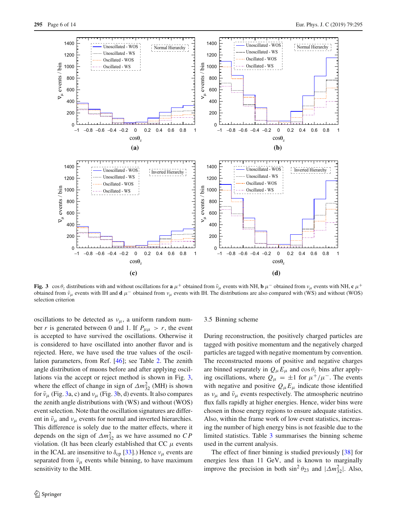

<span id="page-5-0"></span>**Fig. 3** cos  $\theta_z$  distributions with and without oscillations for **a**  $\mu^+$  obtained from  $\bar{\nu}_{\mu}$  events with NH, **b**  $\mu^-$  obtained from  $\nu_{\mu}$  events with NH, **c**  $\mu^+$ obtained from  $\bar{v}_{\mu}$  events with IH and **d**  $\mu^{-}$  obtained from  $v_{\mu}$  events with IH. The distributions are also compared with (WS) and without (WOS) selection criterion

oscillations to be detected as  $v_{\mu}$ , a uniform random number *r* is generated between 0 and 1. If  $P_{\mu\mu} > r$ , the event is accepted to have survived the oscillations. Otherwise it is considered to have oscillated into another flavor and is rejected. Here, we have used the true values of the oscillation parameters, from Ref. [\[46\]](#page-13-14); see Table [2.](#page-4-1) The zenith angle distribution of muons before and after applying oscillations via the accept or reject method is shown in Fig. [3,](#page-5-0) where the effect of change in sign of  $\Delta m_{32}^2$  (MH) is shown for  $\bar{\nu}_{\mu}$  (Fig. [3a](#page-5-0), c) and  $\nu_{\mu}$  (Fig. [3b](#page-5-0), d) events. It also compares the zenith angle distributions with (WS) and without (WOS) event selection. Note that the oscillation signatures are different in  $\bar{\nu}_{\mu}$  and  $\nu_{\mu}$  events for normal and inverted hierarchies. This difference is solely due to the matter effects, where it depends on the sign of  $\Delta m_{32}^2$  as we have assumed no *CP* violation. (It has been clearly established that CC  $\mu$  events in the ICAL are insensitive to  $\delta_{\rm cp}$  [\[33\]](#page-13-2).) Hence  $\nu_\mu$  events are separated from  $\bar{\nu}_{\mu}$  events while binning, to have maximum sensitivity to the MH.

### 3.5 Binning scheme

During reconstruction, the positively charged particles are tagged with positive momentum and the negatively charged particles are tagged with negative momentum by convention. The reconstructed muons of positive and negative charges are binned separately in  $Q_{\mu}E_{\mu}$  and  $\cos \theta_z$  bins after applying oscillations, where  $Q_{\mu} = \pm 1$  for  $\mu^{+}/\mu^{-}$ . The events with negative and positive  $Q_{\mu}E_{\mu}$  indicate those identified as  $v_{\mu}$  and  $\bar{v}_{\mu}$  events respectively. The atmospheric neutrino flux falls rapidly at higher energies. Hence, wider bins were chosen in those energy regions to ensure adequate statistics. Also, within the frame work of low event statistics, increasing the number of high energy bins is not feasible due to the limited statistics. Table [3](#page-6-0) summarises the binning scheme used in the current analysis.

The effect of finer binning is studied previously [\[38](#page-13-7)] for energies less than 11 GeV, and is known to marginally improve the precision in both  $\sin^2 \theta_{23}$  and  $|\Delta m_{32}^2|$ . Also,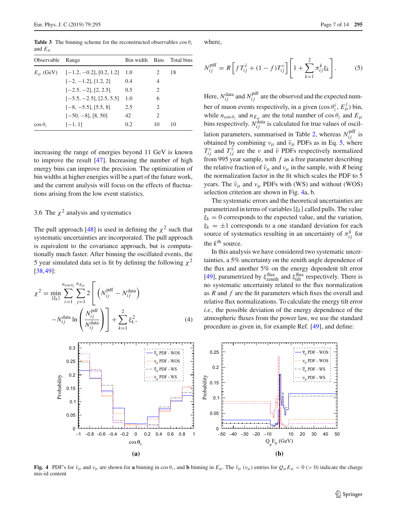<span id="page-6-0"></span>**Table 3** The binning scheme for the reconstructed observables  $\cos \theta$ and  $E_\mu$ 

| Observable      | Range                                       | Bin width Bins Total bins |                               |    |
|-----------------|---------------------------------------------|---------------------------|-------------------------------|----|
|                 | $E_{\mu}$ (GeV) $[-1.2, -0.2]$ , [0.2, 1.2] | 1.0                       | 2                             | 18 |
|                 | $[-2, -1.2], [1.2, 2]$                      | 0.4                       | 4                             |    |
|                 | $[-2.5, -2]$ , $[2, 2.5]$                   | 0.5                       | 2                             |    |
|                 | $[-5.5, -2.5], [2.5, 5.5]$                  | 1.0                       | 6                             |    |
|                 | $[-8, -5.5], [5.5, 8]$                      | 2.5                       | 2                             |    |
|                 | $[-50, -8]$ , [8, 50]                       | 42                        | $\mathfrak{D}_{\mathfrak{p}}$ |    |
| $\cos \theta_z$ | $[-1, 1]$                                   | 0.2                       | 10                            | 10 |
|                 |                                             |                           |                               |    |

increasing the range of energies beyond 11 GeV is known to improve the result [\[47](#page-13-16)]. Increasing the number of high energy bins can improve the precision. The optimization of bin widths at higher energies will be a part of the future work, and the current analysis will focus on the effects of fluctuations arising from the low event statistics.

# 3.6 The  $\chi^2$  analysis and systematics

The pull approach [\[48\]](#page-13-17) is used in defining the  $\chi^2$  such that systematic uncertainties are incorporated. The pull approach is equivalent to the covariance approach, but is computationally much faster. After binning the oscillated events, the 5 year simulated data set is fit by defining the following  $\chi^2$ [\[38](#page-13-7),[49\]](#page-13-18):

$$
\chi^2 = \min_{\{\xi_k\}} \sum_{i=1}^{n_{\cos\theta_{\zeta}}} \sum_{j=1}^{n_{E\mu}} 2 \left[ \left( N_{ij}^{\text{pdf}} - N_{ij}^{\text{data}} \right) - N_{ij}^{\text{data}} \ln \left( \frac{N_{ij}^{\text{pdf}}}{N_{ij}^{\text{data}}} \right) \right] + \sum_{k=1}^{2} \xi_k^2, \tag{4}
$$

where,

<span id="page-6-1"></span>
$$
N_{ij}^{\text{pdf}} = R \left[ f T_{ij}^{\bar{\nu}} + (1 - f) T_{ij}^{\nu} \right] \left[ 1 + \sum_{k=1}^{2} \pi_{ij}^{k} \xi_k \right].
$$
 (5)

Here,  $N_{ij}^{\text{data}}$  and  $N_{ij}^{\text{pdf}}$  are the observed and the expected number of muon events respectively, in a given  $(\cos \theta_z^i, E_\mu^j)$  bin, while  $n_{\cos\theta_z}$  and  $n_{E_\mu}$  are the total number of  $\cos\theta_z$  and  $E_\mu$ bins respectively.  $N_{ij}^{\text{data}}$  is calculated for true values of oscil-lation parameters, summarised in Table [2,](#page-4-1) whereas  $N_{ij}^{\text{pdf}}$  is obtained by combining  $v_{\mu}$  and  $\bar{v}_{\mu}$  PDFs as in Eq. [5,](#page-6-1) where  $T_{ij}^{\nu}$  and  $T_{ij}^{\bar{\nu}}$  are the *ν* and  $\bar{\nu}$  PDFs respectively normalized from 995 year sample, with *f* as a free parameter describing the relative fraction of  $\bar{v}_{\mu}$  and  $v_{\mu}$  in the sample, with *R* being the normalization factor in the fit which scales the PDF to 5 years. The  $\bar{\nu}_{\mu}$  and  $\nu_{\mu}$  PDFs with (WS) and without (WOS) selection criterion are shown in Fig. [4a](#page-6-2), b.

The systematic errors and the theoretical uncertainties are parametrized in terms of variables  $\{\xi_k\}$  called pulls. The value  $\xi_k = 0$  corresponds to the expected value, and the variation,  $\xi_k = \pm 1$  corresponds to a one standard deviation for each source of systematics resulting in an uncertainty of  $\pi_{ij}^k$  for the  $k^{\text{th}}$  source.

In this analysis we have considered two systematic uncertainties, a 5% uncertainty on the zenith angle dependence of the flux and another 5% on the energy dependent tilt error [\[49](#page-13-18)], parametrized by  $\xi_{zenith}^{\text{flux}}$  and  $\xi_{tilt}^{\text{flux}}$  respectively. There is no systematic uncertainty related to the flux normalization as *R* and *f* are the fit parameters which fixes the overall and relative flux normalizations. To calculate the energy tilt error *i.e.,* the possible deviation of the energy dependence of the atmospheric fluxes from the power law, we use the standard procedure as given in, for example Ref. [\[49](#page-13-18)], and define:



<span id="page-6-2"></span>**Fig. 4** PDF's for  $\bar{v}_{\mu}$  and  $v_{\mu}$  are shown for **a** binning in cos  $\theta_z$ , and **b** binning in  $E_{\mu}$ . The  $\bar{v}_{\mu}$  ( $v_{\mu}$ ) entries for  $Q_{\mu}E_{\mu} < 0$  (> 0) indicate the charge mis-id content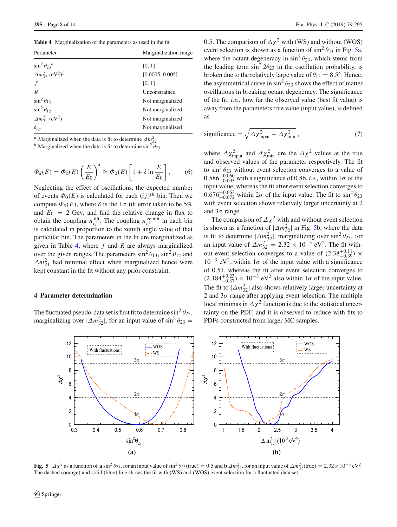<span id="page-7-1"></span>**Table 4** Marginalization of the parameters as used in the fit

| Parameter                                         | Marginalization range |  |  |
|---------------------------------------------------|-----------------------|--|--|
| $\sin^2 \theta_{23}^{\ a}$                        | [0, 1]                |  |  |
| $\Delta m_{32}^2$ (eV <sup>2</sup> ) <sup>b</sup> | [0.0005, 0.005]       |  |  |
|                                                   | [0, 1]                |  |  |
| R                                                 | Unconstrained         |  |  |
| $\sin^2 \theta_{13}$                              | Not marginalized      |  |  |
| $\sin^2 \theta_{12}$                              | Not marginalized      |  |  |
| $\Delta m_{21}^2$ (eV <sup>2</sup> )              | Not marginalized      |  |  |
| $\delta_{cp}$                                     | Not marginalized      |  |  |
|                                                   |                       |  |  |

<sup>*a*</sup> Marginalized when the data is fit to determine  $\Delta m_{32}^2$ 

<sup>b</sup> Marginalized when the data is fit to determine sin<sup>2</sup>  $\theta_{23}$ 

$$
\Phi_{\delta}(E) = \Phi_0(E) \left(\frac{E}{E_0}\right)^{\delta} \approx \Phi_0(E) \left[1 + \delta \ln \frac{E}{E_0}\right],\tag{6}
$$

Neglecting the effect of oscillations, the expected number of events  $\Phi_0(E)$  is calculated for each  $(ij)^{th}$  bin. Then we compute  $\Phi_{\delta}(E)$ , where  $\delta$  is the  $1\sigma$  tilt error taken to be 5% and  $E_0 = 2$  Gev, and find the relative change in flux to obtain the coupling  $\pi_{ij}^{\text{tilt}}$ . The coupling  $\pi_{ij}^{\text{zenith}}$  in each bin is calculated in proportion to the zenith angle value of that particular bin. The parameters in the fit are marginalized as given in Table [4,](#page-7-1) where *f* and *R* are always marginalized over the given ranges. The parameters  $\sin^2 \theta_{13}$ ,  $\sin^2 \theta_{12}$  and  $\Delta m_{21}^2$  had minimal effect when marginalized hence were kept constant in the fit without any prior constraint.

# <span id="page-7-0"></span>**4 Parameter determination**

The fluctuated pseudo-data set is first fit to determine  $\sin^2 \theta_{23}$ , marginalizing over  $|\Delta m_{32}^2|$ , for an input value of sin<sup>2</sup>  $\theta_{23}$  =

0.5. The comparison of  $\Delta \chi^2$  with (WS) and without (WOS) event selection is shown as a function of  $\sin^2 \theta_{23}$  in Fig. [5a](#page-7-2), where the octant degeneracy in  $\sin^2 \theta_{23}$ , which stems from the leading term  $\sin^2 2\theta_{23}$  in the oscillation probability, is broken due to the relatively large value of  $\theta_{13} = 8.5^\circ$ . Hence, the asymmetrical curve in  $\sin^2 \theta_{23}$  shows the effect of matter oscillations in breaking octant degeneracy. The significance of the fit, *i.e.,* how far the observed value (best fit value) is away from the parameters true value (input value), is defined as

$$
significance = \sqrt{\Delta \chi_{input}^2 - \Delta \chi_{min}^2} \,,\tag{7}
$$

where  $\Delta \chi_{\text{input}}^2$  and  $\Delta \chi_{\text{min}}^2$  are the  $\Delta \chi^2$  values at the true and observed values of the parameter respectively. The fit to  $\sin^2 \theta_{23}$  without event selection converges to a value of  $0.586^{+0.060}_{-0.093}$  with a significance of 0.86, *i.e.*, within  $1\sigma$  of the input value, whereas the fit after event selection converges to  $0.676^{+0.063}_{-0.072}$  within  $2\sigma$  of the input value. The fit to  $\sin^2 \theta_{23}$ with event selection shows relatively larger uncertainty at 2 and  $3\sigma$  range.

The comparison of  $\Delta \chi^2$  with and without event selection is shown as a function of  $|\Delta m_{32}^2|$  in Fig. [5b](#page-7-2), where the data is fit to determine  $|\Delta m_{32}^2|$ , marginalizing over sin<sup>2</sup>  $\theta_{23}$ , for an input value of  $\Delta m_{32}^2 = 2.32 \times 10^{-3} \text{ eV}^2$ . The fit without event selection converges to a value of  $(2.38^{+0.11}_{-0.39}) \times$  $10^{-3}$  eV<sup>2</sup>, within  $1\sigma$  of the input value with a significance of 0.51, whereas the fit after event selection converges to  $(2.184_{-0.37}^{+0.23}) \times 10^{-3}$  eV<sup>2</sup> also within 1 $\sigma$  of the input value. The fit to  $|\Delta m_{32}^2|$  also shows relatively larger uncertainty at 2 and  $3\sigma$  range after applying event selection. The multiple local minimas in  $\Delta \chi^2$  function is due to the statistical uncertainty on the PDF, and it is observed to reduce with fits to PDFs constructed from larger MC samples.



<span id="page-7-2"></span>**Fig. 5**  $\Delta \chi^2$  as a function of **a** sin<sup>2</sup>  $\theta_{23}$ , for an input value of sin<sup>2</sup>  $\theta_{23}$ (true) = 0.5 and **b**  $\Delta m_{32}^2$ , for an input value of  $\Delta m_{32}^2$ (true) = 2.32 × 10<sup>-3</sup> eV<sup>2</sup>. The dashed (orange) and solid (blue) line shows the fit with (WS) and (WOS) event selection for a fluctuated data set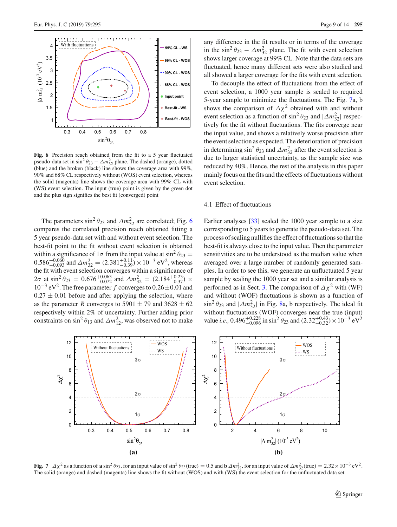

<span id="page-8-0"></span>**Fig. 6** Precision reach obtained from the fit to a 5 year fluctuated pseudo-data set in sin<sup>2</sup>  $\theta_{23} - \Delta m_{32}^2$  plane. The dashed (orange), dotted (blue) and the broken (black) line shows the coverage area with 99%, 90% and 68% CL respectively without (WOS) event selection, whereas the solid (magenta) line shows the coverage area with 99% CL with (WS) event selection. The input (true) point is given by the green dot and the plus sign signifies the best fit (converged) point

The parameters  $\sin^2 \theta_{23}$  and  $\Delta m_{32}^2$  are correlated; Fig. [6](#page-8-0) compares the correlated precision reach obtained fitting a 5 year pseudo-data set with and without event selection. The best-fit point to the fit without event selection is obtained within a significance of  $1\sigma$  from the input value at  $\sin^2 \theta_{23} =$  $0.586^{+0.060}_{-0.093}$  and  $\Delta m_{32}^2 = (2.381^{+0.11}_{-0.39}) \times 10^{-3}$  eV<sup>2</sup>, whereas the fit with event selection converges within a significance of 2σ at sin<sup>2</sup>  $\theta_{23} = 0.676^{+0.063}_{-0.072}$  and  $\Delta m_{32}^2 = (2.184^{+0.23}_{-0.37}) \times$ <sup>10</sup>−<sup>3</sup> eV2. The free parameter *<sup>f</sup>* converges to 0.26±0.01 and  $0.27 \pm 0.01$  before and after applying the selection, where as the parameter *R* converges to 5901  $\pm$  79 and 3628  $\pm$  62 respectively within 2% of uncertainty. Further adding prior constraints on  $\sin^2 \theta_{13}$  and  $\Delta m_{12}^2$ , was observed not to make

any difference in the fit results or in terms of the coverage in the  $\sin^2 \theta_{23} - \Delta m_{32}^2$  plane. The fit with event selection shows larger coverage at 99% CL. Note that the data sets are fluctuated, hence many different sets were also studied and all showed a larger coverage for the fits with event selection.

To decouple the effect of fluctuations from the effect of event selection, a 1000 year sample is scaled to required 5-year sample to minimize the fluctuations. The Fig. [7a](#page-8-1), b shows the comparison of  $\Delta \chi^2$  obtained with and without event selection as a function of  $\sin^2 \theta_{23}$  and  $|\Delta m_{32}^2|$  respectively for the fit without fluctuations. The fits converge near the input value, and shows a relatively worse precision after the event selection as expected. The deterioration of precision in determining  $\sin^2 \theta_{23}$  and  $\Delta m_{32}^2$  after the event selection is due to larger statistical uncertainty, as the sample size was reduced by 40%. Hence, the rest of the analysis in this paper mainly focus on the fits and the effects of fluctuations without event selection.

#### 4.1 Effect of fluctuations

Earlier analyses [\[33](#page-13-2)] scaled the 1000 year sample to a size corresponding to 5 years to generate the pseudo-data set. The process of scaling nullifies the effect of fluctuations so that the best-fit is always close to the input value. Then the parameter sensitivities are to be understood as the median value when averaged over a large number of randomly generated samples. In order to see this, we generate an unfluctuated 5 year sample by scaling the 1000 year set and a similar analysis is performed as in Sect. [3.](#page-2-0) The comparison of  $\Delta \chi^2$  with (WF) and without (WOF) fluctuations is shown as a function of  $\sin^2 \theta_{23}$  and  $|\Delta m_{32}^2|$  in Fig. [8a](#page-9-0), b respectively. The ideal fit without fluctuations (WOF) converges near the true (input) value *i.e.*, 0.496<sup>+0.228</sup> in sin<sup>2</sup>  $\theta_{23}$  and  $(2.32^{+0.43}_{-0.32}) \times 10^{-3}$  eV<sup>2</sup>



<span id="page-8-1"></span>**Fig. 7**  $\Delta \chi^2$  as a function of **a** sin<sup>2</sup>  $\theta_{23}$ , for an input value of sin<sup>2</sup>  $\theta_{23}$ (true) = 0.5 and **b**  $\Delta m_{32}^2$ , for an input value of  $\Delta m_{32}^2$ (true) = 2.32 × 10<sup>-3</sup> eV<sup>2</sup>. The solid (orange) and dashed (magenta) line shows the fit without (WOS) and with (WS) the event selection for the unfluctuated data set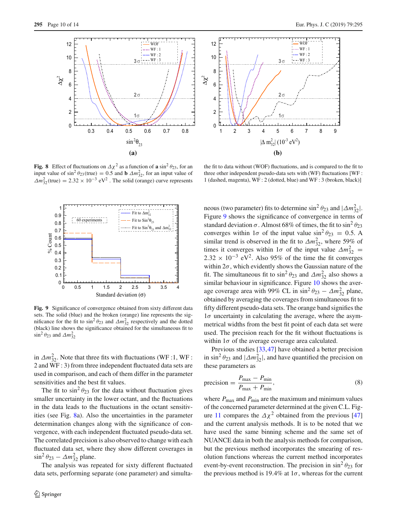

<span id="page-9-0"></span>**Fig. 8** Effect of fluctuations on  $\Delta \chi^2$  as a function of **a** sin<sup>2</sup>  $\theta_{23}$ , for an input value of  $\sin^2 \theta_{23}$ (true) = 0.5 and **b**  $\Delta m_{32}^2$ , for an input value of  $\Delta m_{32}^2$ (true) = 2.32 × 10<sup>-3</sup> eV<sup>2</sup>. The solid (orange) curve represents



<span id="page-9-1"></span>**Fig. 9** Significance of convergence obtained from sixty different data sets. The solid (blue) and the broken (orange) line represents the significance for the fit to  $\sin^2 \theta_{23}$  and  $\Delta m_{32}^2$  respectively and the dotted (black) line shows the significance obtained for the simultaneous fit to  $\sin^2 \theta_{23}$  and  $\Delta m_{32}^2$ 

in  $\Delta m_{32}^2$ . Note that three fits with fluctuations (WF :1, WF : 2 and WF : 3) from three independent fluctuated data sets are used in comparison, and each of them differ in the parameter sensitivities and the best fit values.

The fit to  $\sin^2 \theta_{23}$  for the data without fluctuation gives smaller uncertainty in the lower octant, and the fluctuations in the data leads to the fluctuations in the octant sensitivities (see Fig. [8a](#page-9-0)). Also the uncertainties in the parameter determination changes along with the significance of convergence, with each independent fluctuated pseudo-data set. The correlated precision is also observed to change with each fluctuated data set, where they show different coverages in  $\sin^2 \theta_{23} - \Delta m_{32}^2$  plane.

The analysis was repeated for sixty different fluctuated data sets, performing separate (one parameter) and simulta-



the fit to data without (WOF) fluctuations, and is compared to the fit to three other independent pseudo-data sets with (WF) fluctuations [WF : 1 (dashed, magenta), WF : 2 (dotted, blue) and WF : 3 (broken, black)]

neous (two parameter) fits to determine  $\sin^2 \theta_{23}$  and  $|\Delta m_{32}^2|$ . Figure [9](#page-9-1) shows the significance of convergence in terms of standard deviation  $\sigma$ . Almost 68% of times, the fit to sin<sup>2</sup>  $\theta_{23}$ converges within  $1\sigma$  of the input value  $\sin^2 \theta_{23} = 0.5$ . A similar trend is observed in the fit to  $\Delta m_{32}^2$ , where 59% of times it converges within  $1\sigma$  of the input value  $\Delta m_{32}^2$  =  $2.32 \times 10^{-3}$  eV<sup>2</sup>. Also 95% of the time the fit converges within  $2\sigma$ , which evidently shows the Gaussian nature of the fit. The simultaneous fit to  $\sin^2 \theta_{23}$  and  $\Delta m_{32}^2$  also shows a similar behaviour in significance. Figure [10](#page-10-1) shows the average coverage area with 99% CL in  $\sin^2 \theta_{23} - \Delta m_{32}^2$  plane, obtained by averaging the coverages from simultaneous fit to fifty different pseudo-data sets. The orange band signifies the  $1\sigma$  uncertainty in calculating the average, where the asymmetrical widths from the best fit point of each data set were used. The precision reach for the fit without fluctuations is within  $1\sigma$  of the average coverage area calculated.

Previous studies [\[33](#page-13-2),[47\]](#page-13-16) have obtained a better precision in sin<sup>2</sup>  $\theta_{23}$  and  $|\Delta m_{32}^2|$ , and have quantified the precision on these parameters as

$$
precision = \frac{P_{\text{max}} - P_{\text{min}}}{P_{\text{max}} + P_{\text{min}}},
$$
\n(8)

where  $P_{\text{max}}$  and  $P_{\text{min}}$  are the maximum and minimum values of the concerned parameter determined at the given C.L. Fig-ure [11](#page-11-0) compares the  $\Delta \chi^2$  obtained from the previous [\[47\]](#page-13-16) and the current analysis methods. It is to be noted that we have used the same binning scheme and the same set of NUANCE data in both the analysis methods for comparison, but the previous method incorporates the smearing of resolution functions whereas the current method incorporates event-by-event reconstruction. The precision in  $\sin^2 \theta_{23}$  for the previous method is 19.4% at  $1\sigma$ , whereas for the current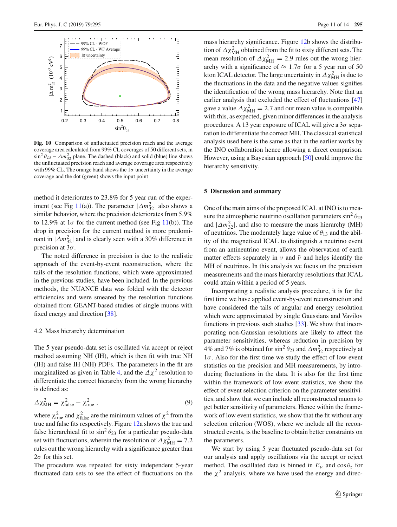

<span id="page-10-1"></span>**Fig. 10** Comparison of unfluctuated precision reach and the average coverage area calculated from 99% CL coverages of 50 different sets, in  $\sin^2 \theta_{23} - \Delta m_{32}^2$  plane. The dashed (black) and solid (blue) line shows the unfluctuated precision reach and average coverage area respectively with 99% CL. The orange band shows the  $1\sigma$  uncertainty in the average coverage and the dot (green) shows the input point

method it deteriorates to 23.8% for 5 year run of the exper-iment (see Fig [11\(](#page-11-0)a)). The parameter  $|\Delta m_{32}^2|$  also shows a similar behavior, where the precision deteriorates from 5.9% to 12.9% at  $1\sigma$  for the current method (see Fig [11\(](#page-11-0)b)). The drop in precision for the current method is more predominant in  $|\Delta m_{32}^2|$  and is clearly seen with a 30% difference in precision at  $3\sigma$ .

The noted difference in precision is due to the realistic approach of the event-by-event reconstruction, where the tails of the resolution functions, which were approximated in the previous studies, have been included. In the previous methods, the NUANCE data was folded with the detector efficiencies and were smeared by the resolution functions obtained from GEANT-based studies of single muons with fixed energy and direction [\[38\]](#page-13-7).

# 4.2 Mass hierarchy determination

The 5 year pseudo-data set is oscillated via accept or reject method assuming NH (IH), which is then fit with true NH (IH) and false IH (NH) PDFs. The parameters in the fit are marginalized as given in Table [4,](#page-7-1) and the  $\Delta \chi^2$  resolution to differentiate the correct hierarchy from the wrong hierarchy is defined as:

$$
\Delta \chi_{\text{MH}}^2 = \chi_{\text{false}}^2 - \chi_{\text{true}}^2 \,, \tag{9}
$$

where  $\chi^2_{\text{true}}$  and  $\chi^2_{\text{false}}$  are the minimum values of  $\chi^2$  from the true and false fits respectively. Figure [12a](#page-11-1) shows the true and false hierarchical fit to  $\sin^2 \theta_{23}$  for a particular pseudo-data set with fluctuations, wherein the resolution of  $\Delta \chi^2_{\text{MH}} = 7.2$ rules out the wrong hierarchy with a significance greater than  $2\sigma$  for this set.

The procedure was repeated for sixty independent 5-year fluctuated data sets to see the effect of fluctuations on the mass hierarchy significance. Figure [12b](#page-11-1) shows the distribution of  $\Delta \chi^2_{\text{MH}}$  obtained from the fit to sixty different sets. The mean resolution of  $\Delta \chi^2_{\text{MH}} = 2.9$  rules out the wrong hierarchy with a significance of  $\approx 1.7\sigma$  for a 5 year run of 50 kton ICAL detector. The large uncertainty in  $\Delta \chi^2_{\text{MH}}$  is due to the fluctuations in the data and the negative values signifies the identification of the wrong mass hierarchy. Note that an earlier analysis that excluded the effect of fluctuations [\[47\]](#page-13-16) gave a value  $\Delta \chi^2_{\text{MH}} = 2.7$  and our mean value is compatible with this, as expected, given minor differences in the analysis procedures. A 13 year exposure of ICAL will give a  $3\sigma$  separation to differentiate the correct MH. The classical statistical analysis used here is the same as that in the earlier works by the INO collaboration hence allowing a direct comparison. However, using a Bayesian approach [\[50](#page-13-19)] could improve the hierarchy sensitivity.

#### <span id="page-10-0"></span>**5 Discussion and summary**

One of the main aims of the proposed ICAL at INO is to measure the atmospheric neutrino oscillation parameters  $\sin^2 \theta_{23}$ and  $|\Delta m_{32}^2|$ , and also to measure the mass hierarchy (MH) of neutrinos. The moderately large value of  $\theta_{13}$  and the ability of the magnetised ICAL to distinguish a neutrino event from an antineutrino event, allows the observation of earth matter effects separately in  $\nu$  and  $\bar{\nu}$  and helps identify the MH of neutrinos. In this analysis we focus on the precision measurements and the mass hierarchy resolutions that ICAL could attain within a period of 5 years.

Incorporating a realistic analysis procedure, it is for the first time we have applied event-by-event reconstruction and have considered the tails of angular and energy resolution which were approximated by single Gaussians and Vavilov functions in previous such studies [\[33](#page-13-2)]. We show that incorporating non-Gaussian resolutions are likely to affect the parameter sensitivities, whereas reduction in precision by 4% and 7% is obtained for  $\sin^2 \theta_{23}$  and  $\Delta m_{32}^2$  respectively at  $1\sigma$ . Also for the first time we study the effect of low event statistics on the precision and MH measurements, by introducing fluctuations in the data. It is also for the first time within the framework of low event statistics, we show the effect of event selection criterion on the parameter sensitivities, and show that we can include all reconstructed muons to get better sensitivity of parameters. Hence within the framework of low event statistics, we show that the fit without any selection criterion (WOS), where we include all the reconstructed events, is the baseline to obtain better constraints on the parameters.

We start by using 5 year fluctuated pseudo-data set for our analysis and apply oscillations via the accept or reject method. The oscillated data is binned in  $E_{\mu}$  and  $\cos \theta_z$  for the  $\chi^2$  analysis, where we have used the energy and direc-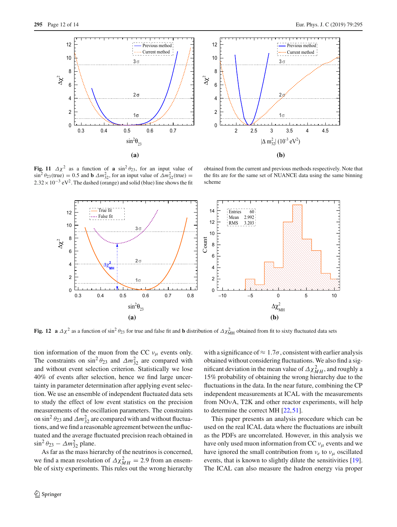



<span id="page-11-0"></span>**Fig. 11**  $\Delta \chi^2$  as a function of **a** sin<sup>2</sup> $\theta_{23}$ , for an input value of  $\sin^2 \theta_{23}$ (true) = 0.5 and **b**  $\Delta m_{32}^2$ , for an input value of  $\Delta m_{32}^2$ (true) =  $2.32 \times 10^{-3}$  eV<sup>2</sup>. The dashed (orange) and solid (blue) line shows the fit

obtained from the current and previous methods respectively. Note that the fits are for the same set of NUANCE data using the same binning scheme



<span id="page-11-1"></span>**Fig. 12** a  $\Delta \chi^2$  as a function of sin<sup>2</sup>  $\theta_{23}$  for true and false fit and **b** distribution of  $\Delta \chi^2_{\text{MH}}$  obtained from fit to sixty fluctuated data sets

tion information of the muon from the CC  $v_{\mu}$  events only. The constraints on  $\sin^2 \theta_{23}$  and  $\Delta m_{32}^2$  are compared with and without event selection criterion. Statistically we lose 40% of events after selection, hence we find large uncertainty in parameter determination after applying event selection. We use an ensemble of independent fluctuated data sets to study the effect of low event statistics on the precision measurements of the oscillation parameters. The constraints on sin<sup>2</sup>  $\theta_{23}$  and  $\Delta m_{32}^2$  are compared with and without fluctuations, and we find a reasonable agreement between the unfluctuated and the average fluctuated precision reach obtained in  $\sin^2 \theta_{23} - \Delta m_{32}^2$  plane.

As far as the mass hierarchy of the neutrinos is concerned, we find a mean resolution of  $\Delta \chi^2_{MH} = 2.9$  from an ensemble of sixty experiments. This rules out the wrong hierarchy

with a significance of  $\approx 1.7\sigma$ , consistent with earlier analysis obtained without considering fluctuations. We also find a significant deviation in the mean value of  $\Delta \chi^2_{MH}$ , and roughly a 15% probability of obtaining the wrong hierarchy due to the fluctuations in the data. In the near future, combining the CP independent measurements at ICAL with the measurements from NOνA, T2K and other reactor experiments, will help to determine the correct MH [\[22](#page-12-16),[51\]](#page-13-20).

This paper presents an analysis procedure which can be used on the real ICAL data where the fluctuations are inbuilt as the PDFs are uncorrelated. However, in this analysis we have only used muon information from CC  $v_{\mu}$  events and we have ignored the small contribution from  $v_e$  to  $v_\mu$  oscillated events, that is known to slightly dilute the sensitivities [\[19](#page-12-13)]. The ICAL can also measure the hadron energy via proper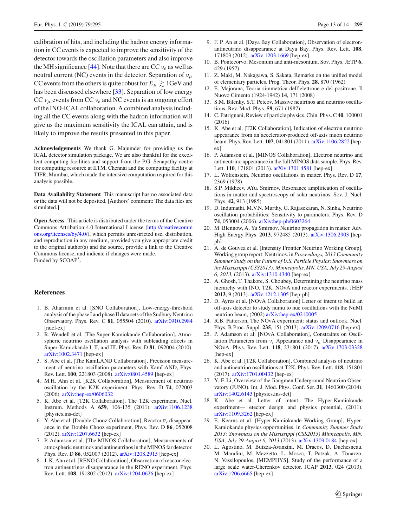calibration of hits, and including the hadron energy information in CC events is expected to improve the sensitivity of the detector towards the oscillation parameters and also improve the MH significance  $[44]$  $[44]$ . Note that there are CC  $v_e$  as well as neutral current (NC) events in the detector. Separation of  $v_{\mu}$ CC events from the others is quite robust for  $E_\mu \gtrsim 1 {\rm GeV}$  and has been discussed elsewhere [\[33](#page-13-2)]. Separation of low energy CC  $v_\mu$  events from CC  $v_e$  and NC events is an ongoing effort of the INO-ICAL collaboration. A combined analysis including all the CC events along with the hadron information will give us the maximum sensitivity the ICAL can attain, and is likely to improve the results presented in this paper.

**Acknowledgements** We thank G. Majumder for providing us the ICAL detector simulation package. We are also thankful for the excellent computing facilities and support from the P.G. Senapathy centre for computing resource at IITM, Chennai and the computing facility at TIFR, Mumbai, which made the intensive computation required for this analysis possible.

**Data Availability Statement** This manuscript has no associated data or the data will not be deposited. [Authors' comment: The data files are simulated.]

**Open Access** This article is distributed under the terms of the Creative Commons Attribution 4.0 International License [\(http://creativecomm](http://creativecommons.org/licenses/by/4.0/) [ons.org/licenses/by/4.0/\)](http://creativecommons.org/licenses/by/4.0/), which permits unrestricted use, distribution, and reproduction in any medium, provided you give appropriate credit to the original author(s) and the source, provide a link to the Creative Commons license, and indicate if changes were made. Funded by SCOAP3.

#### **References**

- <span id="page-12-0"></span>1. B. Aharmim et al. [SNO Collaboration], Low-energy-threshold analysis of the phase I and phase II data sets of the Sudbury Neutrino Observatory. Phys. Rev. C **81**, 055504 (2010). [arXiv:0910.2984](http://arxiv.org/abs/0910.2984) [nucl-ex]
- 2. R. Wendell et al. [The Super-Kamiokande Collaboration], Atmospheric neutrino oscillation analysis with subleading effects in Super-Kamiokande I, II, and III. Phys. Rev. D **81**, 092004 (2010). [arXiv:1002.3471](http://arxiv.org/abs/1002.3471) [hep-ex]
- 3. S. Abe et al. [The KamLAND Collaboration], Precision measurement of neutrino oscillation parameters with KamLAND, Phys. Rev. Lett. **100**, 221803 (2008). [arXiv:0801.4589](http://arxiv.org/abs/0801.4589) [hep-ex]
- 4. M.H. Ahn et al. [K2K Collaboration], Measurement of neutrino oscillation by the K2K experiment. Phys. Rev. D **74**, 072003 (2006). [arXiv:hep-ex/0606032](http://arxiv.org/abs/hep-ex/0606032)
- <span id="page-12-17"></span>5. K. Abe et al. [T2K Collaboration], The T2K experiment. Nucl. Instrum. Methods A **659**, 106-135 (2011). [arXiv:1106.1238](http://arxiv.org/abs/1106.1238) [physics.ins-det]
- <span id="page-12-7"></span>6. Y. Abe et al. [Double Chooz Collaboration], Reactor  $\overline{v}_e$  disappearance in the Double Chooz experiment. Phys. Rev. D **86**, 052008 (2012). [arXiv:1207.6632](http://arxiv.org/abs/1207.6632) [hep-ex]
- 7. P. Adamson et al. [The MINOS Collaboration], Measurements of atmospheric neutrinos and antineutrinos in the MINOS far detector. Phys. Rev. D **86**, 052007 (2012). [arXiv:1208.2915](http://arxiv.org/abs/1208.2915) [hep-ex]
- <span id="page-12-8"></span>8. J. K. Ahn et al. [RENO Collaboration], Observation of reactor electron antineutrinos disappearance in the RENO experiment. Phys. Rev. Lett. **108**, 191802 (2012). [arXiv:1204.0626](http://arxiv.org/abs/1204.0626) [hep-ex]
- <span id="page-12-1"></span>9. F. P. An et al. [Daya Bay Collaboration], Observation of electronantineutrino disappearance at Daya Bay. Phys. Rev. Lett. **108**, 171803 (2012). [arXiv:1203.1669](http://arxiv.org/abs/1203.1669) [hep-ex]
- <span id="page-12-2"></span>10. B. Pontecorvo, Mesonium and anti-mesonium. Sov. Phys. JETP **6**, 429 (1957)
- <span id="page-12-3"></span>11. Z. Maki, M. Nakagawa, S. Sakata, Remarks on the unified model of elementary particles. Prog. Theor. Phys. **28**, 870 (1962)
- <span id="page-12-4"></span>12. E. Majorana, Teoria simmetrica dell'elettrone e del positrone. Il Nuovo Cimento (1924-1942) **14**, 171 (2008)
- <span id="page-12-5"></span>13. S.M. Bilenky, S.T. Petcov, Massive neutrinos and neutrino oscillations. Rev. Mod. Phys. **59**, 671 (1987)
- <span id="page-12-6"></span>14. C. Patrignani, Review of particle physics. Chin. Phys. C**40**, 100001 (2016)
- <span id="page-12-9"></span>15. K. Abe et al. [T2K Collaboration], Indication of electron neutrino appearance from an accelerator-produced off-axis muon neutrino beam. Phys. Rev. Lett. **107**, 041801 (2011). [arXiv:1106.2822](http://arxiv.org/abs/1106.2822) [hepex]
- <span id="page-12-10"></span>16. P. Adamson et al. [MINOS Collaboration], Electron neutrino and antineutrino appearance in the full MINOS data sample. Phys. Rev. Lett. **110**, 171801 (2013). [arXiv:1301.4581](http://arxiv.org/abs/1301.4581) [hep-ex]
- <span id="page-12-11"></span>17. L. Wolfenstein, Neutrino oscillations in matter. Phys. Rev. D **17**, 2369 (1978)
- <span id="page-12-12"></span>18. S.P. Mikheev, AYu. Smirnov, Resonance amplification of oscillations in matter and spectroscopy of solar neutrinos. Sov. J. Nucl. Phys. **42**, 913 (1985)
- <span id="page-12-13"></span>19. D. Indumathi, M.V.N. Murthy, G. Rajasekaran, N. Sinha, Neutrino oscillation probabilities: Sensitivity to parameters. Phys. Rev. D **74**, 053004 (2006). [arXiv:hep-ph/0603264](http://arxiv.org/abs/hep-ph/0603264)
- <span id="page-12-14"></span>20. M. Blennow, A. Yu Smirnov, Neutrino propagation in matter. Adv. High Energy Phys. **2013**, 972485 (2013). [arXiv:1306.2903](http://arxiv.org/abs/1306.2903) [hepph]
- <span id="page-12-15"></span>21. A. de Gouvea et al. [Intensity Frontier Neutrino Working Group], Working group report: Neutrinos. in*Proceedings, 2013 Community Summer Study on the Future of U.S. Particle Physics: Snowmass on the Mississippi (CSS2013): Minneapolis, MN, USA, July 29-August 6, 2013*, (2013). [arXiv:1310.4340](http://arxiv.org/abs/1310.4340) [hep-ex]
- <span id="page-12-16"></span>22. A. Ghosh, T. Thakore, S. Choubey, Determining the neutrino mass hierarchy with INO, T2K, NOvA and reactor experiments. JHEP **2013**, 9 (2013). [arXiv:1212.1305](http://arxiv.org/abs/1212.1305) [hep-ph]
- <span id="page-12-18"></span>23. D. Ayres et al. [NOvA Collaboration] Letter of intent to build an off-axis detector to study numu to nue oscillations with the NuMI neutrino beam, (2002) [arXiv:hep-ex/0210005](http://arxiv.org/abs/hep-ex/0210005)
- <span id="page-12-19"></span>24. R.B. Patterson, The NOvA experiment: status and outlook. Nucl. Phys. B Proc. Suppl. **235**, 151 (2013). [arXiv:1209.0716](http://arxiv.org/abs/1209.0716) [hep-ex]
- <span id="page-12-20"></span>25. P. Adamson et al. [NOvA Collaboration], Constraints on Oscillation Parameters from ν*<sup>e</sup>* Appearance and νμ Disappearance in NOvA. Phys. Rev. Lett. **118**, 231801 (2017). [arXiv:1703.03328](http://arxiv.org/abs/1703.03328) [hep-ex]
- <span id="page-12-21"></span>26. K. Abe et al. [T2K Collaboration], Combined analysis of neutrino and antineutrino oscillations at T2K. Phys. Rev. Lett. **118**, 151801 (2017). [arXiv:1701.00432](http://arxiv.org/abs/1701.00432) [hep-ex]
- <span id="page-12-22"></span>27. Y.-F. Li, Overview of the Jiangmen Underground Neutrino Observatory (JUNO). Int. J. Mod. Phys. Conf. Ser. **31**, 1460300 (2014). [arXiv:1402.6143](http://arxiv.org/abs/1402.6143) [physics.ins-det]
- <span id="page-12-23"></span>28. K. Abe et al. Letter of intent: The Hyper-Kamiokande experiment— etector design and physics potential, (2011). [arXiv:1109.3262](http://arxiv.org/abs/1109.3262) [hep-ex]
- <span id="page-12-24"></span>29. E. Kearns et al. [Hyper-Kamiokande Working Group], Hyper-Kamiokande physics opportunities. in *Community Summer Study 2013: Snowmass on the Mississippi (CSS2013) Minneapolis, MN, USA, July 29-August 6, 2013* (2013). [arXiv:1309.0184](http://arxiv.org/abs/1309.0184) [hep-ex]
- <span id="page-12-25"></span>30. L. Agostino, M. Buizza-Avanzini, M. Dracos, D. Duchesneau, M. Marafini, M. Mezzetto, L. Mosca, T. Patzak, A. Tonazzo, N. Vassilopoulos, [MEMPHYS], Study of the performance of a large scale water-Cherenkov detector. JCAP **2013**, 024 (2013). [arXiv:1206.6665](http://arxiv.org/abs/1206.6665) [hep-ex]